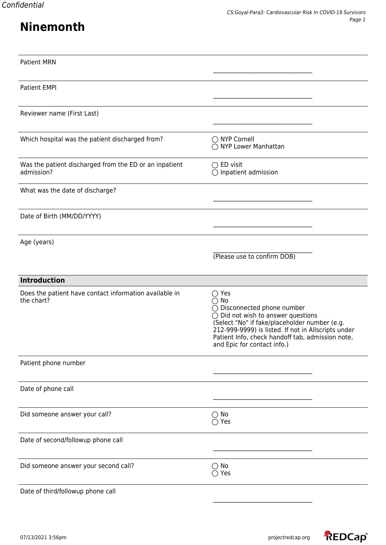## **Ninemonth**

| <b>Patient MRN</b>                                                   |                                                                                                                                                                                                                                                                                                                   |
|----------------------------------------------------------------------|-------------------------------------------------------------------------------------------------------------------------------------------------------------------------------------------------------------------------------------------------------------------------------------------------------------------|
| <b>Patient EMPI</b>                                                  |                                                                                                                                                                                                                                                                                                                   |
| Reviewer name (First Last)                                           |                                                                                                                                                                                                                                                                                                                   |
| Which hospital was the patient discharged from?                      | ◯ NYP Cornell<br>◯ NYP Lower Manhattan                                                                                                                                                                                                                                                                            |
| Was the patient discharged from the ED or an inpatient<br>admission? | $\bigcirc$ ED visit<br>$\bigcirc$ Inpatient admission                                                                                                                                                                                                                                                             |
| What was the date of discharge?                                      |                                                                                                                                                                                                                                                                                                                   |
| Date of Birth (MM/DD/YYYY)                                           |                                                                                                                                                                                                                                                                                                                   |
| Age (years)                                                          | (Please use to confirm DOB)                                                                                                                                                                                                                                                                                       |
| <b>Introduction</b>                                                  |                                                                                                                                                                                                                                                                                                                   |
| Does the patient have contact information available in<br>the chart? | $\bigcirc$ Yes<br>$\bigcirc$ No<br>$\bigcirc$ Disconnected phone number<br>$\bigcirc$ Did not wish to answer questions<br>(Select "No" if fake/placeholder number (e.g.<br>212-999-9999) is listed. If not in Allscripts under<br>Patient Info, check handoff tab, admission note,<br>and Epic for contact info.) |
| Patient phone number                                                 |                                                                                                                                                                                                                                                                                                                   |
| Date of phone call                                                   |                                                                                                                                                                                                                                                                                                                   |
| Did someone answer your call?                                        | $\bigcirc$ No<br>$\bigcirc$ Yes                                                                                                                                                                                                                                                                                   |
| Date of second/followup phone call                                   |                                                                                                                                                                                                                                                                                                                   |
| Did someone answer your second call?                                 | $\bigcirc$ No<br>$\bigcirc$ Yes                                                                                                                                                                                                                                                                                   |
| Date of third/followup phone call                                    |                                                                                                                                                                                                                                                                                                                   |

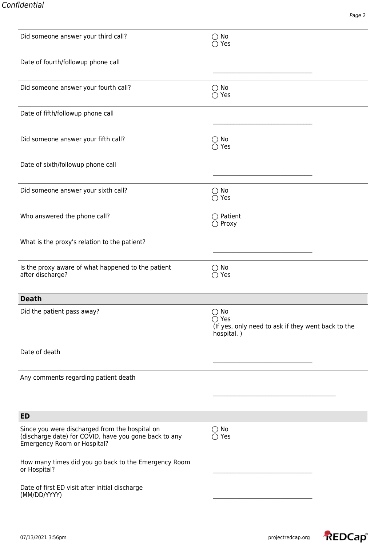| Did someone answer your third call?                                                                                                    | $\bigcirc$ No<br>$\bigcirc$ Yes                                                                     |
|----------------------------------------------------------------------------------------------------------------------------------------|-----------------------------------------------------------------------------------------------------|
| Date of fourth/followup phone call                                                                                                     |                                                                                                     |
| Did someone answer your fourth call?                                                                                                   | $\bigcirc$ No<br>$\bigcirc$ Yes                                                                     |
| Date of fifth/followup phone call                                                                                                      |                                                                                                     |
| Did someone answer your fifth call?                                                                                                    | $\bigcirc$ No<br>$\bigcirc$ Yes                                                                     |
| Date of sixth/followup phone call                                                                                                      |                                                                                                     |
| Did someone answer your sixth call?                                                                                                    | $\bigcirc$ No<br>$\bigcirc$ Yes                                                                     |
| Who answered the phone call?                                                                                                           | $\bigcirc$ Patient<br>$\bigcirc$ Proxy                                                              |
| What is the proxy's relation to the patient?                                                                                           |                                                                                                     |
| Is the proxy aware of what happened to the patient<br>after discharge?                                                                 | $\bigcirc$ No<br>$\bigcirc$ Yes                                                                     |
| <b>Death</b>                                                                                                                           |                                                                                                     |
| Did the patient pass away?                                                                                                             | $\bigcirc$ No<br>$\bigcirc$ Yes<br>(If yes, only need to ask if they went back to the<br>hospital.) |
| Date of death                                                                                                                          |                                                                                                     |
| Any comments regarding patient death                                                                                                   |                                                                                                     |
| <b>ED</b>                                                                                                                              |                                                                                                     |
| Since you were discharged from the hospital on<br>(discharge date) for COVID, have you gone back to any<br>Emergency Room or Hospital? | $\bigcirc$ No<br>$\bigcirc$ Yes                                                                     |
| How many times did you go back to the Emergency Room<br>or Hospital?                                                                   |                                                                                                     |
| Date of first ED visit after initial discharge<br>(MM/DD/YYYY)                                                                         |                                                                                                     |

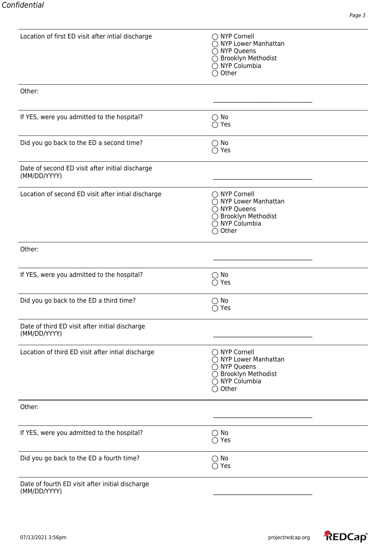| Location of first ED visit after intial discharge               | ◯ NYP Cornell<br>◯ NYP Lower Manhattan<br>◯ NYP Queens<br>◯ Brooklyn Methodist<br>◯ NYP Columbia<br>$\bigcirc$ Other          |
|-----------------------------------------------------------------|-------------------------------------------------------------------------------------------------------------------------------|
| Other:                                                          |                                                                                                                               |
| If YES, were you admitted to the hospital?                      | $\bigcirc$ No<br>$\bigcirc$ Yes                                                                                               |
| Did you go back to the ED a second time?                        | $\bigcirc$ No<br>$\bigcirc$ Yes                                                                                               |
| Date of second ED visit after initial discharge<br>(MM/DD/YYYY) |                                                                                                                               |
| Location of second ED visit after intial discharge              | $\bigcirc$ NYP Cornell<br>◯ NYP Lower Manhattan<br>◯ NYP Queens<br>◯ Brooklyn Methodist<br>◯ NYP Columbia<br>$\bigcirc$ Other |
| Other:                                                          |                                                                                                                               |
| If YES, were you admitted to the hospital?                      | $\bigcirc$ No<br>$\bigcirc$ Yes                                                                                               |
| Did you go back to the ED a third time?                         | $\bigcirc$ No<br>$\bigcirc$ Yes                                                                                               |
| Date of third ED visit after initial discharge<br>(MM/DD/YYYY)  |                                                                                                                               |
| Location of third ED visit after intial discharge               | ◯ NYP Cornell<br>◯ NYP Lower Manhattan<br>◯ NYP Queens<br>◯ Brooklyn Methodist<br>$\bigcirc$ NYP Columbia<br>$\bigcirc$ Other |
| Other:                                                          |                                                                                                                               |
| If YES, were you admitted to the hospital?                      | $\bigcirc$ No<br>$\bigcirc$ Yes                                                                                               |
| Did you go back to the ED a fourth time?                        | $\bigcirc$ No<br>$\bigcirc$ Yes                                                                                               |
| Date of fourth ED visit after initial discharge                 |                                                                                                                               |

(MM/DD/YYYY) \_\_\_\_\_\_\_\_\_\_\_\_\_\_\_\_\_\_\_\_\_\_\_\_\_\_\_\_\_\_\_\_\_\_

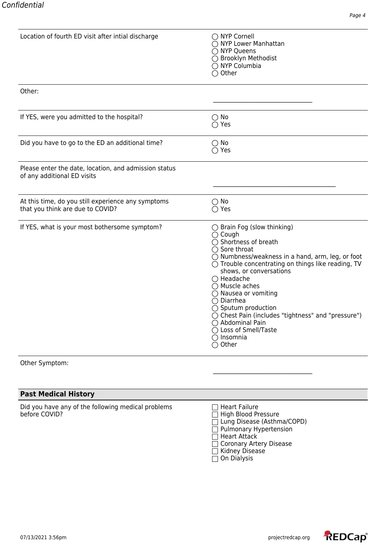| Location of fourth ED visit after intial discharge                                     | ◯ NYP Cornell<br>◯ NYP Lower Manhattan<br>◯ NYP Queens<br>◯ Brooklyn Methodist<br>◯ NYP Columbia<br>$\bigcirc$ Other                                                                                                                                                                                                                                                                                                                                                                                                                              |
|----------------------------------------------------------------------------------------|---------------------------------------------------------------------------------------------------------------------------------------------------------------------------------------------------------------------------------------------------------------------------------------------------------------------------------------------------------------------------------------------------------------------------------------------------------------------------------------------------------------------------------------------------|
| Other:                                                                                 |                                                                                                                                                                                                                                                                                                                                                                                                                                                                                                                                                   |
| If YES, were you admitted to the hospital?                                             | $\bigcirc$ No<br>$\bigcirc$ Yes                                                                                                                                                                                                                                                                                                                                                                                                                                                                                                                   |
| Did you have to go to the ED an additional time?                                       | $\bigcirc$ No<br>$\bigcirc$ Yes                                                                                                                                                                                                                                                                                                                                                                                                                                                                                                                   |
| Please enter the date, location, and admission status<br>of any additional ED visits   |                                                                                                                                                                                                                                                                                                                                                                                                                                                                                                                                                   |
| At this time, do you still experience any symptoms<br>that you think are due to COVID? | $\bigcirc$ No<br>$\bigcirc$ Yes                                                                                                                                                                                                                                                                                                                                                                                                                                                                                                                   |
| If YES, what is your most bothersome symptom?                                          | $\bigcirc$ Brain Fog (slow thinking)<br>$\bigcirc$ Cough<br>◯ Shortness of breath<br>$\bigcirc$ Sore throat<br>$\bigcirc$ Numbness/weakness in a hand, arm, leg, or foot<br>$\bigcirc$ Trouble concentrating on things like reading, TV<br>shows, or conversations<br>◯ Headache<br>$\bigcirc$ Muscle aches<br>$\bigcirc$ Nausea or vomiting<br>$\bigcirc$ Diarrhea<br>$\bigcirc$ Sputum production<br>◯ Chest Pain (includes "tightness" and "pressure")<br>◯ Abdominal Pain<br>◯ Loss of Smell/Taste<br>$\bigcirc$ Insomnia<br>$\bigcirc$ Other |

Other Symptom:

## **Past Medical History**

Did you have any of the following medical problems  $\Box$  Heart Failure before COVID? before COVID? High Blood Pressure

Lung Disease (Asthma/COPD) Pulmonary Hypertension  $\overline{\Box}$  Heart Attack Coronary Artery Disease Kidney Disease  $\overline{\Box}$  On Dialysis

\_\_\_\_\_\_\_\_\_\_\_\_\_\_\_\_\_\_\_\_\_\_\_\_\_\_\_\_\_\_\_\_\_\_

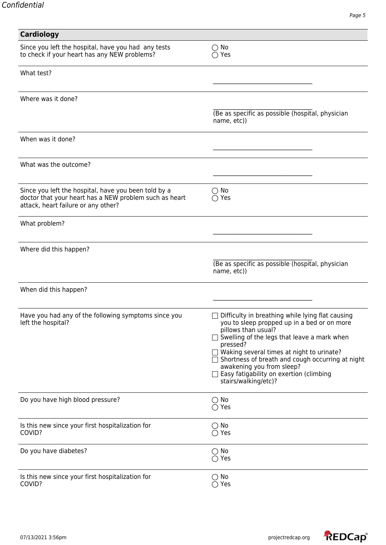| Cardiology                                                                                    |                                                                                      |
|-----------------------------------------------------------------------------------------------|--------------------------------------------------------------------------------------|
| Since you left the hospital, have you had any tests                                           | $\bigcirc$ No                                                                        |
| to check if your heart has any NEW problems?                                                  | $\bigcirc$ Yes                                                                       |
| What test?                                                                                    |                                                                                      |
|                                                                                               |                                                                                      |
| Where was it done?                                                                            |                                                                                      |
|                                                                                               |                                                                                      |
|                                                                                               | (Be as specific as possible (hospital, physician<br>name, etc))                      |
| When was it done?                                                                             |                                                                                      |
| What was the outcome?                                                                         |                                                                                      |
|                                                                                               |                                                                                      |
| Since you left the hospital, have you been told by a                                          | $\bigcirc$ No                                                                        |
| doctor that your heart has a NEW problem such as heart<br>attack, heart failure or any other? | $\bigcirc$ Yes                                                                       |
| What problem?                                                                                 |                                                                                      |
|                                                                                               |                                                                                      |
| Where did this happen?                                                                        |                                                                                      |
|                                                                                               | (Be as specific as possible (hospital, physician                                     |
|                                                                                               | name, etc))                                                                          |
| When did this happen?                                                                         |                                                                                      |
|                                                                                               |                                                                                      |
| Have you had any of the following symptoms since you                                          | $\Box$ Difficulty in breathing while lying flat causing                              |
| left the hospital?                                                                            | you to sleep propped up in a bed or on more<br>pillows than usual?                   |
|                                                                                               | □ Swelling of the legs that leave a mark when                                        |
|                                                                                               | pressed?<br>$\Box$ Waking several times at night to urinate?                         |
|                                                                                               | $\Box$ Shortness of breath and cough occurring at night<br>awakening you from sleep? |
|                                                                                               | Easy fatigability on exertion (climbing                                              |
|                                                                                               | stairs/walking/etc)?                                                                 |
| Do you have high blood pressure?                                                              | $\bigcirc$ No                                                                        |
|                                                                                               | $\bigcirc$ Yes                                                                       |
| Is this new since your first hospitalization for                                              | $\bigcirc$ No                                                                        |
| COVID?                                                                                        | $\bigcirc$ Yes                                                                       |
| Do you have diabetes?                                                                         | $\bigcirc$ No                                                                        |
|                                                                                               | $\bigcirc$ Yes                                                                       |
| Is this new since your first hospitalization for<br>COVID?                                    | $\bigcirc$ No                                                                        |
|                                                                                               | $\bigcirc$ Yes                                                                       |



Page 5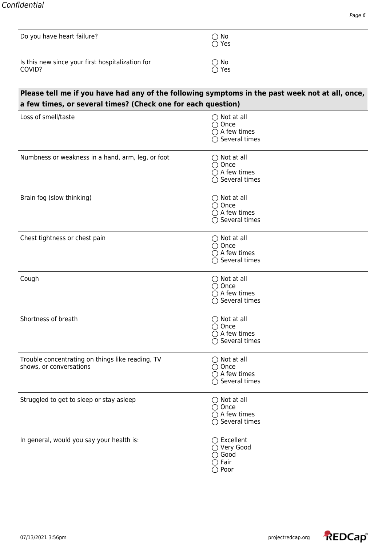| Do you have heart failure?                                 | ○ No<br>○ Yes |
|------------------------------------------------------------|---------------|
| Is this new since your first hospitalization for<br>COVID? | ○ No<br>○ Yes |

## **Please tell me if you have had any of the following symptoms in the past week not at all, once, a few times, or several times? (Check one for each question)**

| a lew thres, or several thres. Teneck one for each question,                |                                                                                                |
|-----------------------------------------------------------------------------|------------------------------------------------------------------------------------------------|
| Loss of smell/taste                                                         | $\bigcirc$ Not at all<br>$\bigcirc$ Once<br>$\bigcirc$ A few times<br>$\bigcirc$ Several times |
| Numbness or weakness in a hand, arm, leg, or foot                           | $\bigcirc$ Not at all<br>$\bigcirc$ Once<br>$\bigcirc$ A few times<br>$\bigcirc$ Several times |
| Brain fog (slow thinking)                                                   | $\bigcirc$ Not at all<br>$\bigcirc$ Once<br>$\bigcirc$ A few times<br>$\bigcirc$ Several times |
| Chest tightness or chest pain                                               | $\bigcirc$ Not at all<br>$\bigcirc$ Once<br>$\bigcirc$ A few times<br>$\bigcirc$ Several times |
| Cough                                                                       | $\bigcirc$ Not at all<br>$\bigcirc$ Once<br>$\bigcirc$ A few times<br>$\bigcirc$ Several times |
| Shortness of breath                                                         | $\bigcirc$ Not at all<br>$\bigcirc$ Once<br>$\bigcirc$ A few times<br>$\bigcirc$ Several times |
| Trouble concentrating on things like reading, TV<br>shows, or conversations | $\bigcirc$ Not at all<br>$\bigcirc$ Once<br>$\bigcirc$ A few times<br>$\bigcirc$ Several times |
| Struggled to get to sleep or stay asleep                                    | $\bigcirc$ Not at all<br>$\bigcirc$ Once<br>$\bigcap$ A few times<br>$\bigcirc$ Several times  |
| In general, would you say your health is:                                   | $\bigcirc$ Excellent<br>◯ Very Good<br>$\bigcirc$ Good<br>$\bigcirc$ Fair<br>$\bigcirc$ Poor   |

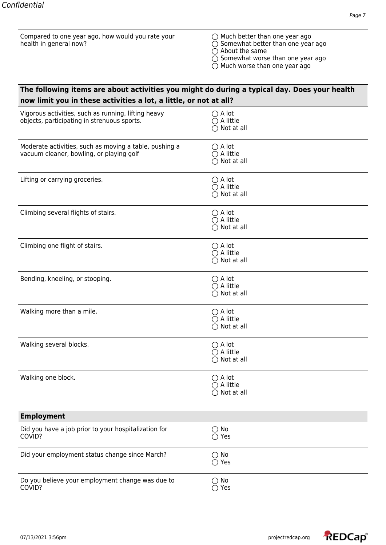| Compared to one year ago, how would you rate your<br>health in general now?                        | $\bigcirc$ Much better than one year ago<br>$\bigcirc$ Somewhat better than one year ago<br>$\bigcirc$ About the same<br>$\bigcirc$ Somewhat worse than one year ago<br>$\bigcirc$ Much worse than one year ago |
|----------------------------------------------------------------------------------------------------|-----------------------------------------------------------------------------------------------------------------------------------------------------------------------------------------------------------------|
| The following items are about activities you might do during a typical day. Does your health       |                                                                                                                                                                                                                 |
| now limit you in these activities a lot, a little, or not at all?                                  |                                                                                                                                                                                                                 |
| Vigorous activities, such as running, lifting heavy<br>objects, participating in strenuous sports. | $\bigcirc$ A lot<br>$\bigcirc$ A little<br>$\bigcirc$ Not at all                                                                                                                                                |
| Moderate activities, such as moving a table, pushing a<br>vacuum cleaner, bowling, or playing golf | $\bigcirc$ A lot<br>$\bigcirc$ A little<br>$\bigcirc$ Not at all                                                                                                                                                |
| Lifting or carrying groceries.                                                                     | $\bigcirc$ A lot<br>$\bigcirc$ A little<br>$\bigcirc$ Not at all                                                                                                                                                |
| Climbing several flights of stairs.                                                                | $\bigcirc$ A lot<br>$\bigcirc$ A little<br>$\bigcirc$ Not at all                                                                                                                                                |
| Climbing one flight of stairs.                                                                     | $\bigcirc$ A lot<br>$\bigcirc$ A little<br>$\bigcirc$ Not at all                                                                                                                                                |
| Bending, kneeling, or stooping.                                                                    | $\bigcirc$ A lot<br>$\bigcirc$ A little<br>$\bigcirc$ Not at all                                                                                                                                                |
| Walking more than a mile.                                                                          | $\bigcirc$ A lot<br>$\bigcirc$ A little<br>Not at all<br>○                                                                                                                                                      |
| Walking several blocks.                                                                            | $\bigcirc$ A lot<br>$\bigcirc$ A little<br>$\bigcirc$ Not at all                                                                                                                                                |
| Walking one block.                                                                                 | $\bigcirc$ A lot<br>$\bigcirc$ A little<br>$\bigcirc$ Not at all                                                                                                                                                |
| <b>Employment</b>                                                                                  |                                                                                                                                                                                                                 |
| Did you have a job prior to your hospitalization for<br>COVID?                                     | $\bigcirc$ No<br>$\bigcirc$ Yes                                                                                                                                                                                 |
| Did your employment status change since March?                                                     | $\bigcirc$ No<br>$\bigcirc$ Yes                                                                                                                                                                                 |
| Do you believe your employment change was due to<br>COVID?                                         | $\bigcirc$ No<br>$\bigcirc$ Yes                                                                                                                                                                                 |

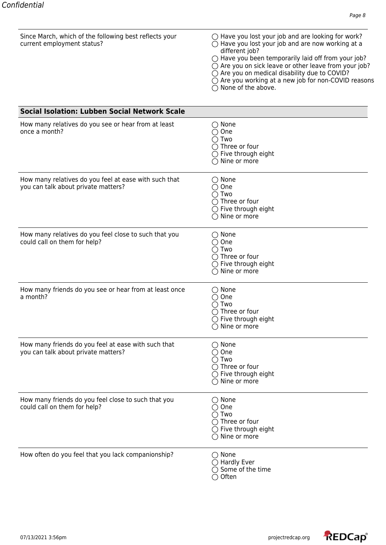| Since March, which of the following best reflects your<br>current employment status?         | $\bigcirc$ Have you lost your job and are looking for work?<br>$\bigcirc$ Have you lost your job and are now working at a<br>different job?<br>$\bigcirc$ Have you been temporarily laid off from your job?<br>$\bigcirc$ Are you on sick leave or other leave from your job?<br>○ Are you on medical disability due to COVID?<br>○ Are you working at a new job for non-COVID reasons<br>$\bigcirc$ None of the above. |
|----------------------------------------------------------------------------------------------|-------------------------------------------------------------------------------------------------------------------------------------------------------------------------------------------------------------------------------------------------------------------------------------------------------------------------------------------------------------------------------------------------------------------------|
| <b>Social Isolation: Lubben Social Network Scale</b>                                         |                                                                                                                                                                                                                                                                                                                                                                                                                         |
| How many relatives do you see or hear from at least<br>once a month?                         | $\bigcirc$ None<br>One<br>$\bigcirc$ Two<br>$\bigcap$ Three or four<br>$\bigcirc$ Five through eight<br>$\bigcirc$ Nine or more                                                                                                                                                                                                                                                                                         |
| How many relatives do you feel at ease with such that<br>you can talk about private matters? | $\bigcirc$ None<br>$\bigcirc$ One<br>$\bigcirc$ Two<br>$\bigcap$ Three or four<br>$\bigcirc$ Five through eight<br>$\bigcap$ Nine or more                                                                                                                                                                                                                                                                               |
| How many relatives do you feel close to such that you<br>could call on them for help?        | $\bigcirc$ None<br>$\bigcirc$ One<br>$\bigcap$ Two<br>$\bigcap$ Three or four<br>$\bigcirc$ Five through eight<br>$\bigcirc$ Nine or more                                                                                                                                                                                                                                                                               |
| How many friends do you see or hear from at least once<br>a month?                           | $\bigcirc$ None<br>$\bigcirc$ One<br>$\bigcap$ Two<br>$\bigcirc$ Three or four<br>$\bigcirc$ Five through eight<br>$\bigcirc$ Nine or more                                                                                                                                                                                                                                                                              |
| How many friends do you feel at ease with such that<br>you can talk about private matters?   | $\bigcirc$ None<br>$\bigcirc$ One<br>$\bigcirc$ Two<br>$\bigcap$ Three or four<br>$\bigcirc$ Five through eight<br>$\bigcirc$ Nine or more                                                                                                                                                                                                                                                                              |
| How many friends do you feel close to such that you<br>could call on them for help?          | $\bigcirc$ None<br>One<br>$\bigcirc$ Two<br>$\bigcirc$ Three or four<br>$\bigcirc$ Five through eight<br>$\bigcirc$ Nine or more                                                                                                                                                                                                                                                                                        |
| How often do you feel that you lack companionship?                                           | $\bigcirc$ None<br>$\supset$ Hardly Ever<br>$\bigcirc$ Some of the time<br>$\bigcirc$ Often                                                                                                                                                                                                                                                                                                                             |